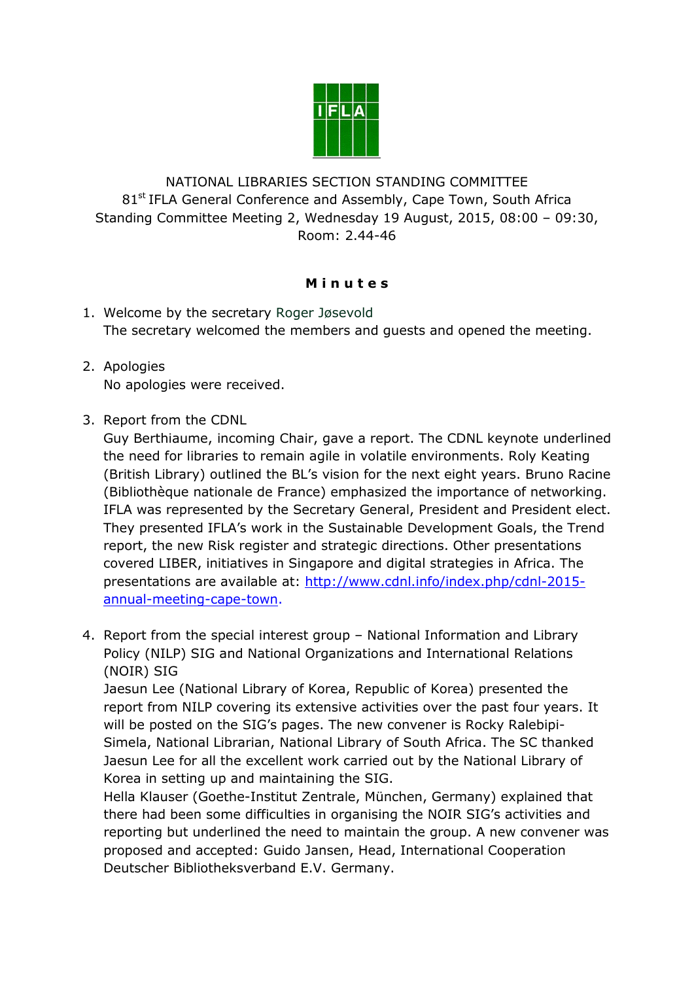

NATIONAL LIBRARIES SECTION STANDING COMMITTEE 81<sup>st</sup> IFLA General Conference and Assembly, Cape Town, South Africa Standing Committee Meeting 2, Wednesday 19 August, 2015, 08:00 – 09:30, Room: 2.44-46

## **M i n u t e s**

- 1. Welcome by the secretary Roger Jøsevold The secretary welcomed the members and guests and opened the meeting.
- 2. Apologies No apologies were received.
- 3. Report from the CDNL

Guy Berthiaume, incoming Chair, gave a report. The CDNL keynote underlined the need for libraries to remain agile in volatile environments. Roly Keating (British Library) outlined the BL's vision for the next eight years. Bruno Racine (Bibliothèque nationale de France) emphasized the importance of networking. IFLA was represented by the Secretary General, President and President elect. They presented IFLA's work in the Sustainable Development Goals, the Trend report, the new Risk register and strategic directions. Other presentations covered LIBER, initiatives in Singapore and digital strategies in Africa. The presentations are available at: [http://www.cdnl.info/index.php/cdnl-2015](http://www.cdnl.info/index.php/cdnl-2015-annual-meeting-cape-town) [annual-meeting-cape-town.](http://www.cdnl.info/index.php/cdnl-2015-annual-meeting-cape-town)

4. Report from the special interest group – National Information and Library Policy (NILP) SIG and National Organizations and International Relations (NOIR) SIG

Jaesun Lee (National Library of Korea, Republic of Korea) presented the report from NILP covering its extensive activities over the past four years. It will be posted on the SIG's pages. The new convener is Rocky Ralebipi-Simela, National Librarian, National Library of South Africa. The SC thanked Jaesun Lee for all the excellent work carried out by the National Library of Korea in setting up and maintaining the SIG.

Hella Klauser (Goethe-Institut Zentrale, München, Germany) explained that there had been some difficulties in organising the NOIR SIG's activities and reporting but underlined the need to maintain the group. A new convener was proposed and accepted: Guido Jansen, Head, International Cooperation Deutscher Bibliotheksverband E.V. Germany.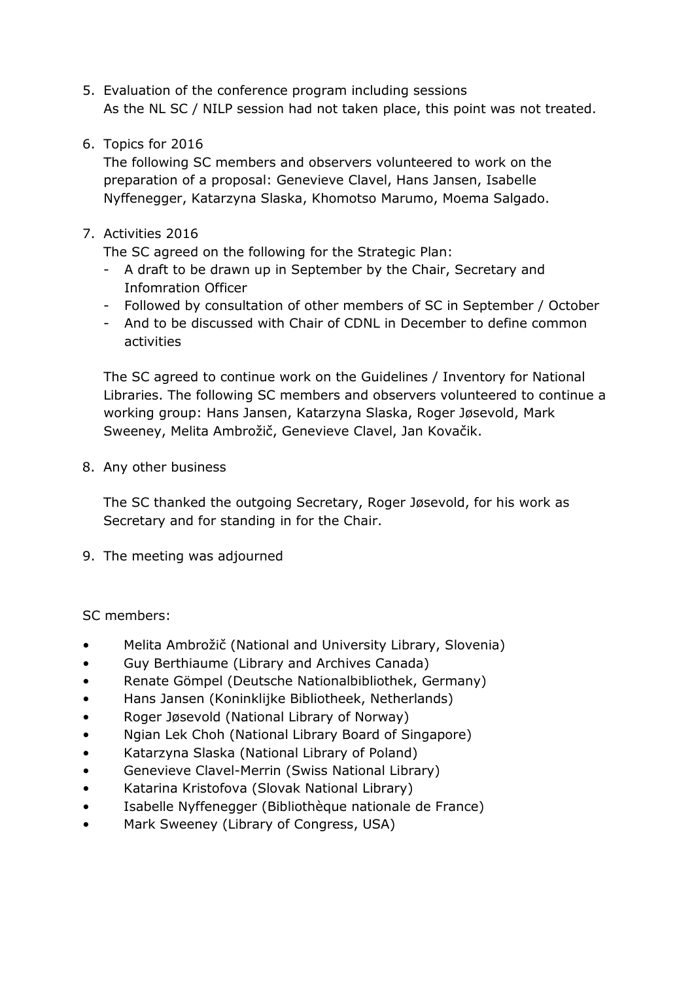- 5. Evaluation of the conference program including sessions As the NL SC / NILP session had not taken place, this point was not treated.
- 6. Topics for 2016

The following SC members and observers volunteered to work on the preparation of a proposal: Genevieve Clavel, Hans Jansen, Isabelle Nyffenegger, Katarzyna Slaska, Khomotso Marumo, Moema Salgado.

7. Activities 2016

The SC agreed on the following for the Strategic Plan:

- A draft to be drawn up in September by the Chair, Secretary and Infomration Officer
- Followed by consultation of other members of SC in September / October
- And to be discussed with Chair of CDNL in December to define common activities

The SC agreed to continue work on the Guidelines / Inventory for National Libraries. The following SC members and observers volunteered to continue a working group: Hans Jansen, Katarzyna Slaska, Roger Jøsevold, Mark Sweeney, Melita Ambrožič, Genevieve Clavel, Jan Kovačik.

8. Any other business

The SC thanked the outgoing Secretary, Roger Jøsevold, for his work as Secretary and for standing in for the Chair.

9. The meeting was adjourned

SC members:

- Melita Ambrožič (National and University Library, Slovenia)
- Guy Berthiaume (Library and Archives Canada)
- Renate Gömpel (Deutsche Nationalbibliothek, Germany)
- Hans Jansen (Koninklijke Bibliotheek, Netherlands)
- Roger Jøsevold (National Library of Norway)
- Ngian Lek Choh (National Library Board of Singapore)
- Katarzyna Slaska (National Library of Poland)
- Genevieve Clavel-Merrin (Swiss National Library)
- Katarina Kristofova (Slovak National Library)
- Isabelle Nyffenegger (Bibliothèque nationale de France)
- Mark Sweeney (Library of Congress, USA)